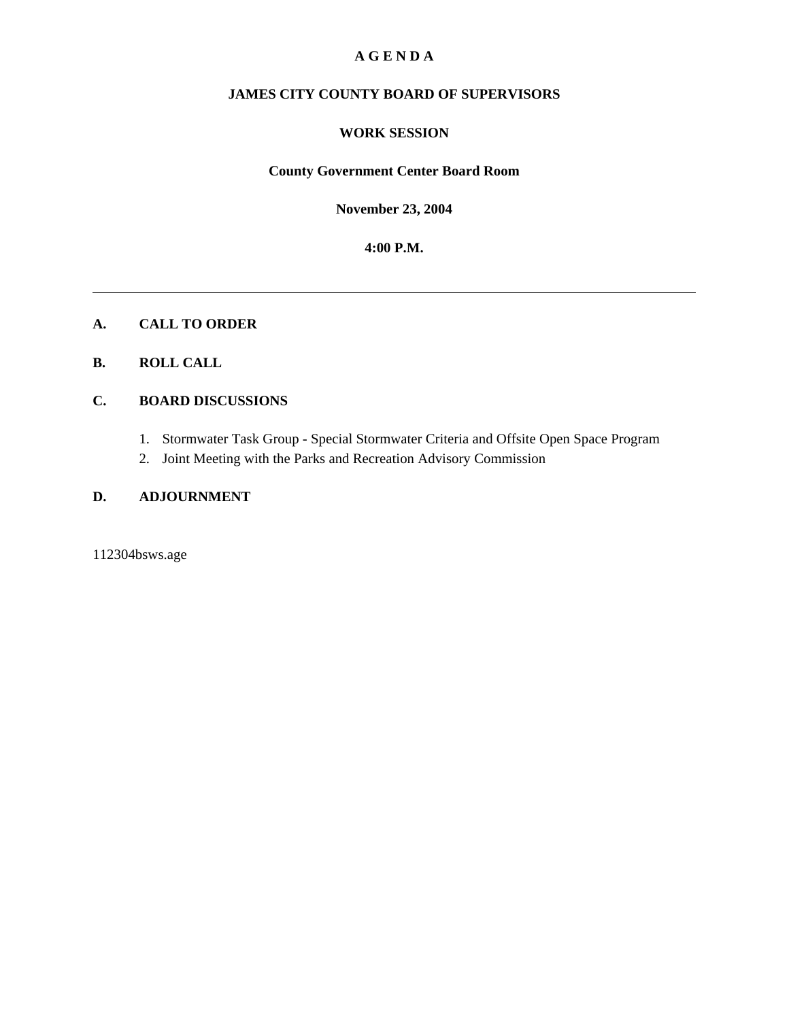## **A G E N D A**

## **JAMES CITY COUNTY BOARD OF SUPERVISORS**

#### **WORK SESSION**

## **County Government Center Board Room**

**November 23, 2004**

**4:00 P.M.**

#### **A. CALL TO ORDER**

## **B. ROLL CALL**

## **C. BOARD DISCUSSIONS**

- 1. Stormwater Task Group Special Stormwater Criteria and Offsite Open Space Program
- 2. Joint Meeting with the Parks and Recreation Advisory Commission

## **D. ADJOURNMENT**

112304bsws.age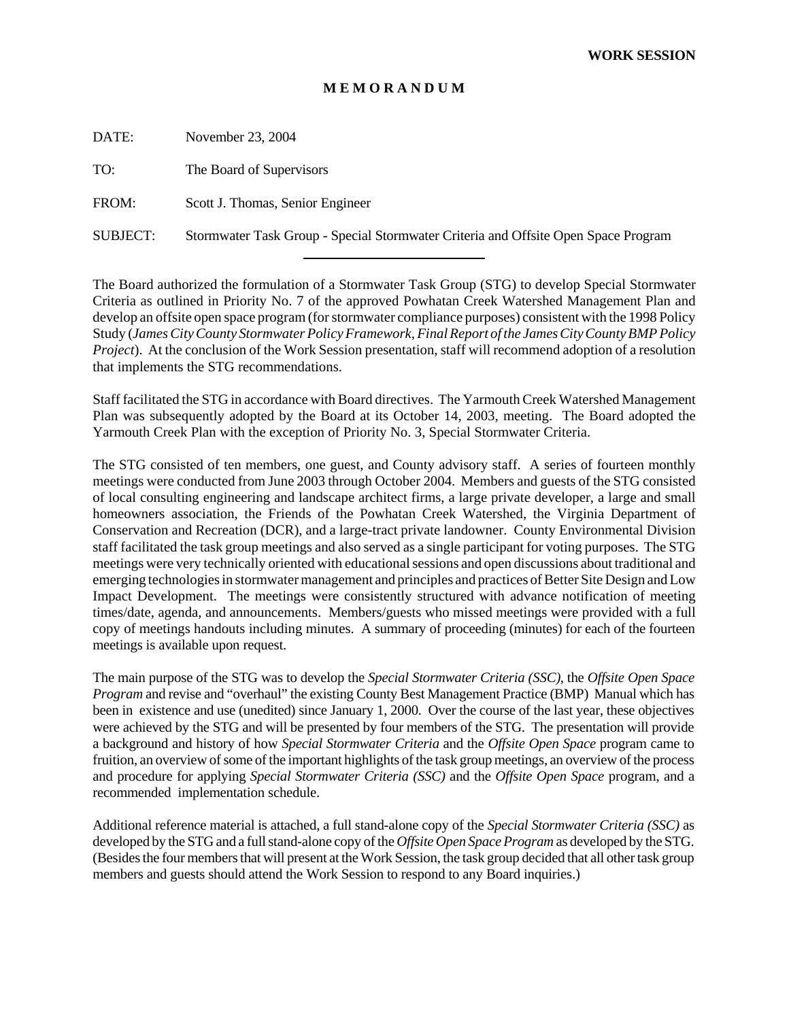#### **M E M O R A N D U M**

DATE: November 23, 2004

TO: The Board of Supervisors

FROM: Scott J. Thomas, Senior Engineer

SUBJECT: Stormwater Task Group - Special Stormwater Criteria and Offsite Open Space Program

l

The Board authorized the formulation of a Stormwater Task Group (STG) to develop Special Stormwater Criteria as outlined in Priority No. 7 of the approved Powhatan Creek Watershed Management Plan and develop an offsite open space program (for stormwater compliance purposes) consistent with the 1998 Policy Study (*James City County Stormwater Policy Framework, Final Report of the James City County BMP Policy Project*). At the conclusion of the Work Session presentation, staff will recommend adoption of a resolution that implements the STG recommendations.

Staff facilitated the STG in accordance with Board directives. The Yarmouth Creek Watershed Management Plan was subsequently adopted by the Board at its October 14, 2003, meeting. The Board adopted the Yarmouth Creek Plan with the exception of Priority No. 3, Special Stormwater Criteria.

The STG consisted of ten members, one guest, and County advisory staff. A series of fourteen monthly meetings were conducted from June 2003 through October 2004. Members and guests of the STG consisted of local consulting engineering and landscape architect firms, a large private developer, a large and small homeowners association, the Friends of the Powhatan Creek Watershed, the Virginia Department of Conservation and Recreation (DCR), and a large-tract private landowner. County Environmental Division staff facilitated the task group meetings and also served as a single participant for voting purposes. The STG meetings were very technically oriented with educational sessions and open discussions about traditional and emerging technologies in stormwater management and principles and practices of Better Site Design and Low Impact Development. The meetings were consistently structured with advance notification of meeting times/date, agenda, and announcements. Members/guests who missed meetings were provided with a full copy of meetings handouts including minutes. A summary of proceeding (minutes) for each of the fourteen meetings is available upon request.

The main purpose of the STG was to develop the *Special Stormwater Criteria (SSC)*, the *Offsite Open Space Program* and revise and "overhaul" the existing County Best Management Practice (BMP) Manual which has been in existence and use (unedited) since January 1, 2000. Over the course of the last year, these objectives were achieved by the STG and will be presented by four members of the STG. The presentation will provide a background and history of how *Special Stormwater Criteria* and the *Offsite Open Space* program came to fruition, an overview of some of the important highlights of the task group meetings, an overview of the process and procedure for applying *Special Stormwater Criteria (SSC)* and the *Offsite Open Space* program, and a recommended implementation schedule.

Additional reference material is attached, a full stand-alone copy of the *Special Stormwater Criteria (SSC)* as developed by the STG and a full stand-alone copy of the *Offsite Open Space Program* as developed by the STG. (Besides the four members that will present at the Work Session, the task group decided that all other task group members and guests should attend the Work Session to respond to any Board inquiries.)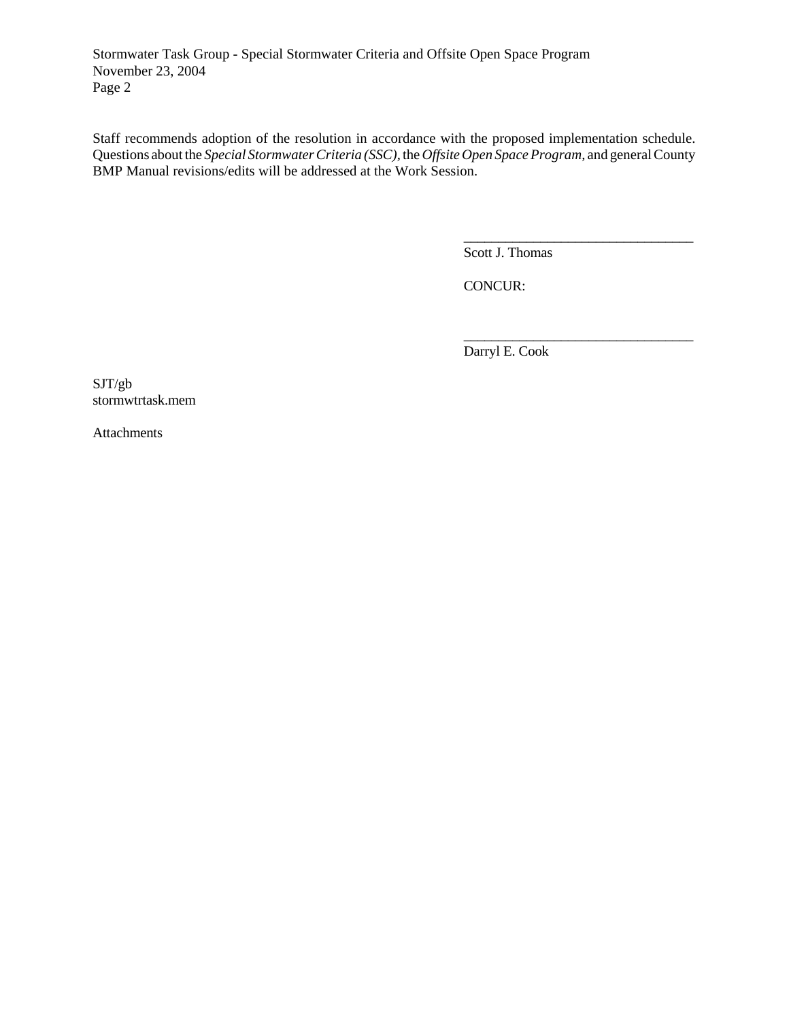Stormwater Task Group - Special Stormwater Criteria and Offsite Open Space Program November 23, 2004 Page 2

Staff recommends adoption of the resolution in accordance with the proposed implementation schedule. Questions about the *Special Stormwater Criteria (SSC),* the *Offsite Open Space Program,* and general County BMP Manual revisions/edits will be addressed at the Work Session.

Scott J. Thomas

\_\_\_\_\_\_\_\_\_\_\_\_\_\_\_\_\_\_\_\_\_\_\_\_\_\_\_\_\_\_\_\_\_

\_\_\_\_\_\_\_\_\_\_\_\_\_\_\_\_\_\_\_\_\_\_\_\_\_\_\_\_\_\_\_\_\_

CONCUR:

Darryl E. Cook

SJT/gb stormwtrtask.mem

Attachments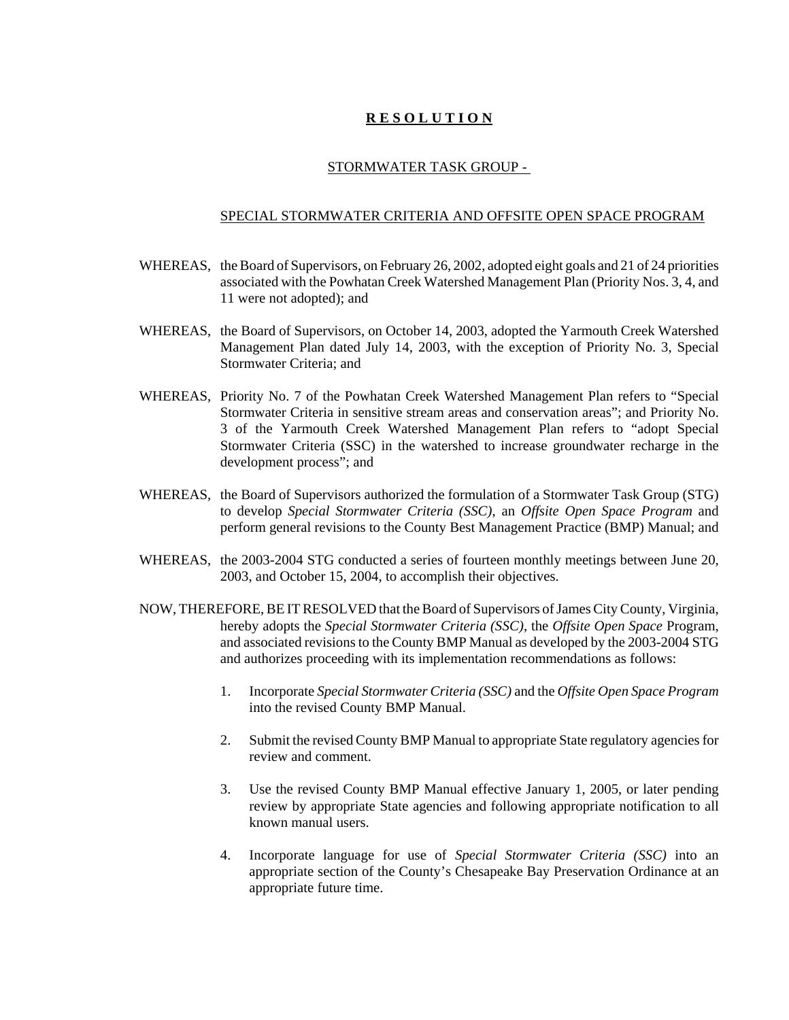## **R E S O L U T I O N**

#### STORMWATER TASK GROUP -

#### SPECIAL STORMWATER CRITERIA AND OFFSITE OPEN SPACE PROGRAM

- WHEREAS, the Board of Supervisors, on February 26, 2002, adopted eight goals and 21 of 24 priorities associated with the Powhatan Creek Watershed Management Plan (Priority Nos. 3, 4, and 11 were not adopted); and
- WHEREAS, the Board of Supervisors, on October 14, 2003, adopted the Yarmouth Creek Watershed Management Plan dated July 14, 2003, with the exception of Priority No. 3, Special Stormwater Criteria; and
- WHEREAS, Priority No. 7 of the Powhatan Creek Watershed Management Plan refers to "Special Stormwater Criteria in sensitive stream areas and conservation areas"; and Priority No. 3 of the Yarmouth Creek Watershed Management Plan refers to "adopt Special Stormwater Criteria (SSC) in the watershed to increase groundwater recharge in the development process"; and
- WHEREAS, the Board of Supervisors authorized the formulation of a Stormwater Task Group (STG) to develop *Special Stormwater Criteria (SSC)*, an *Offsite Open Space Program* and perform general revisions to the County Best Management Practice (BMP) Manual; and
- WHEREAS, the 2003-2004 STG conducted a series of fourteen monthly meetings between June 20, 2003, and October 15, 2004, to accomplish their objectives.
- NOW, THEREFORE, BE IT RESOLVED that the Board of Supervisors of James City County, Virginia, hereby adopts the *Special Stormwater Criteria (SSC)*, the *Offsite Open Space* Program, and associated revisions to the County BMP Manual as developed by the 2003-2004 STG and authorizes proceeding with its implementation recommendations as follows:
	- 1. Incorporate *Special Stormwater Criteria (SSC)* and the *Offsite Open Space Program* into the revised County BMP Manual.
	- 2. Submit the revised County BMP Manual to appropriate State regulatory agencies for review and comment.
	- 3. Use the revised County BMP Manual effective January 1, 2005, or later pending review by appropriate State agencies and following appropriate notification to all known manual users.
	- 4. Incorporate language for use of *Special Stormwater Criteria (SSC)* into an appropriate section of the County's Chesapeake Bay Preservation Ordinance at an appropriate future time.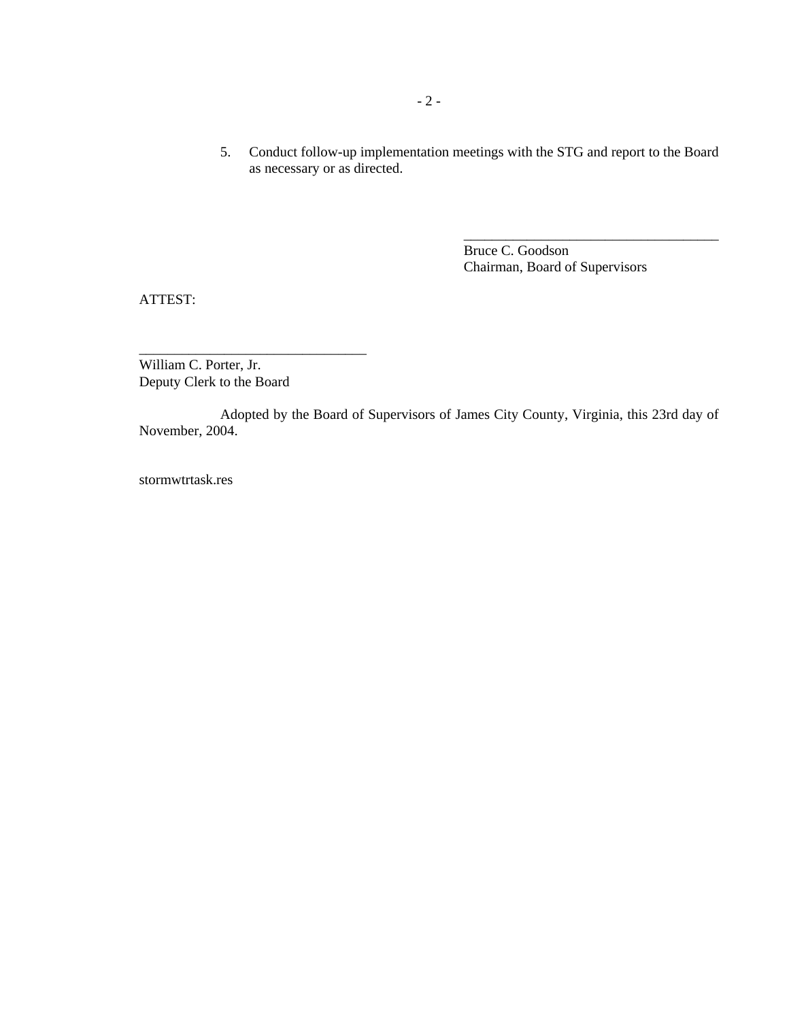5. Conduct follow-up implementation meetings with the STG and report to the Board as necessary or as directed.

> Bruce C. Goodson Chairman, Board of Supervisors

\_\_\_\_\_\_\_\_\_\_\_\_\_\_\_\_\_\_\_\_\_\_\_\_\_\_\_\_\_\_\_\_\_\_\_\_

ATTEST:

William C. Porter, Jr. Deputy Clerk to the Board

\_\_\_\_\_\_\_\_\_\_\_\_\_\_\_\_\_\_\_\_\_\_\_\_\_\_\_\_\_\_\_\_

Adopted by the Board of Supervisors of James City County, Virginia, this 23rd day of November, 2004.

stormwtrtask.res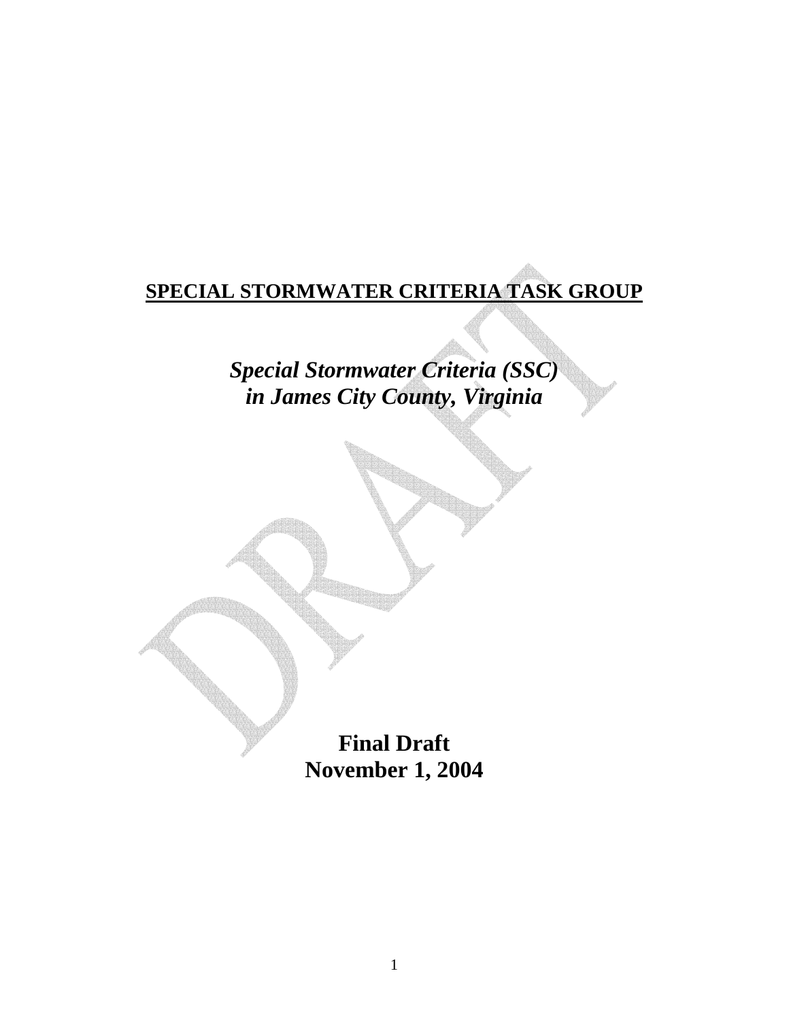# **SPECIAL STORMWATER CRITERIA TASK GROUP**

*Special Stormwater Criteria (SSC) in James City County, Virginia* 

> **Final Draft November 1, 2004**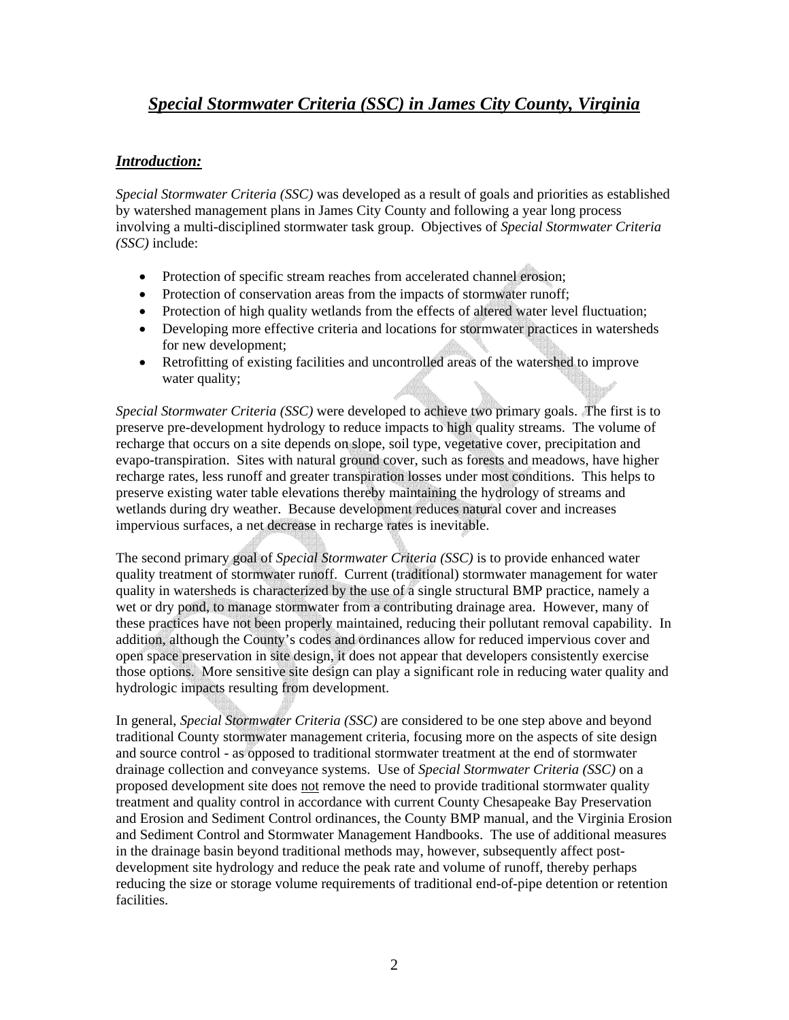## *Special Stormwater Criteria (SSC) in James City County, Virginia*

## *Introduction:*

*Special Stormwater Criteria (SSC)* was developed as a result of goals and priorities as established by watershed management plans in James City County and following a year long process involving a multi-disciplined stormwater task group. Objectives of *Special Stormwater Criteria (SSC)* include:

- Protection of specific stream reaches from accelerated channel erosion;
- Protection of conservation areas from the impacts of stormwater runoff;
- Protection of high quality wetlands from the effects of altered water level fluctuation;
- Developing more effective criteria and locations for stormwater practices in watersheds for new development;
- Retrofitting of existing facilities and uncontrolled areas of the watershed to improve water quality;

*Special Stormwater Criteria (SSC)* were developed to achieve two primary goals. The first is to preserve pre-development hydrology to reduce impacts to high quality streams. The volume of recharge that occurs on a site depends on slope, soil type, vegetative cover, precipitation and evapo-transpiration. Sites with natural ground cover, such as forests and meadows, have higher recharge rates, less runoff and greater transpiration losses under most conditions. This helps to preserve existing water table elevations thereby maintaining the hydrology of streams and wetlands during dry weather. Because development reduces natural cover and increases impervious surfaces, a net decrease in recharge rates is inevitable.

The second primary goal of *Special Stormwater Criteria (SSC)* is to provide enhanced water quality treatment of stormwater runoff. Current (traditional) stormwater management for water quality in watersheds is characterized by the use of a single structural BMP practice, namely a wet or dry pond, to manage stormwater from a contributing drainage area. However, many of these practices have not been properly maintained, reducing their pollutant removal capability. In addition, although the County's codes and ordinances allow for reduced impervious cover and open space preservation in site design, it does not appear that developers consistently exercise those options. More sensitive site design can play a significant role in reducing water quality and hydrologic impacts resulting from development.

In general, *Special Stormwater Criteria (SSC)* are considered to be one step above and beyond traditional County stormwater management criteria, focusing more on the aspects of site design and source control - as opposed to traditional stormwater treatment at the end of stormwater drainage collection and conveyance systems. Use of *Special Stormwater Criteria (SSC)* on a proposed development site does not remove the need to provide traditional stormwater quality treatment and quality control in accordance with current County Chesapeake Bay Preservation and Erosion and Sediment Control ordinances, the County BMP manual, and the Virginia Erosion and Sediment Control and Stormwater Management Handbooks. The use of additional measures in the drainage basin beyond traditional methods may, however, subsequently affect postdevelopment site hydrology and reduce the peak rate and volume of runoff, thereby perhaps reducing the size or storage volume requirements of traditional end-of-pipe detention or retention facilities.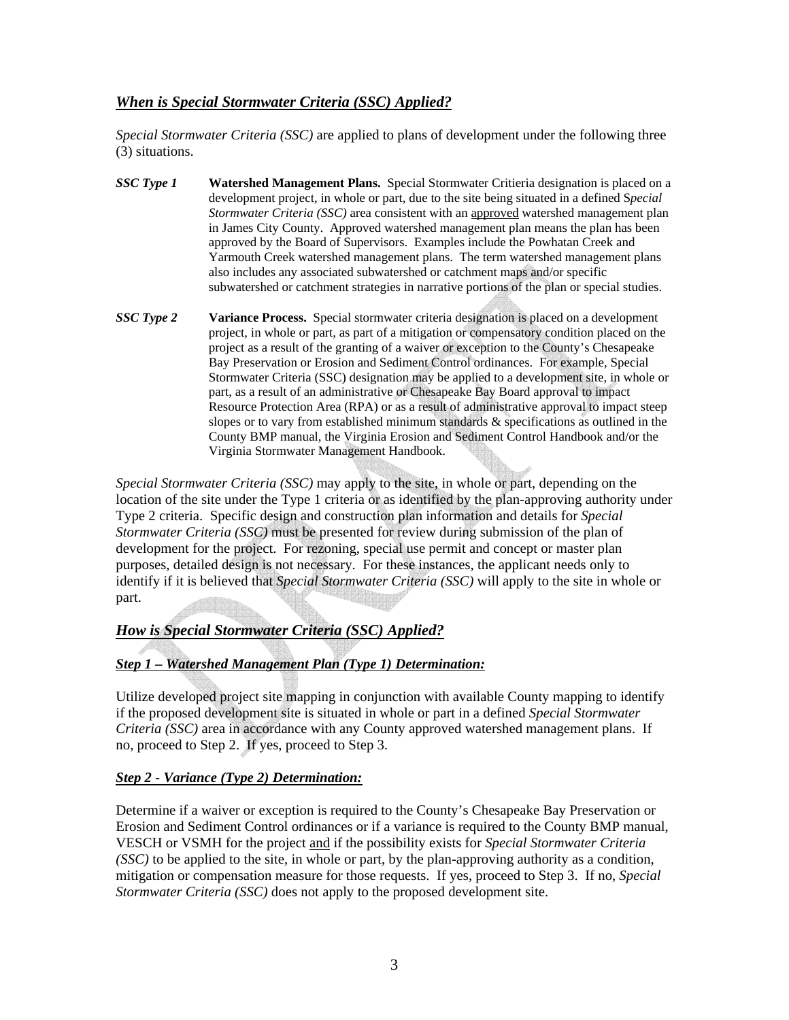## *When is Special Stormwater Criteria (SSC) Applied?*

*Special Stormwater Criteria (SSC)* are applied to plans of development under the following three (3) situations.

- *SSC Type 1* **Watershed Management Plans.** Special Stormwater Critieria designation is placed on a development project, in whole or part, due to the site being situated in a defined S*pecial Stormwater Criteria (SSC)* area consistent with an approved watershed management plan in James City County. Approved watershed management plan means the plan has been approved by the Board of Supervisors. Examples include the Powhatan Creek and Yarmouth Creek watershed management plans. The term watershed management plans also includes any associated subwatershed or catchment maps and/or specific subwatershed or catchment strategies in narrative portions of the plan or special studies.
- *SSC Type 2* **Variance Process.** Special stormwater criteria designation is placed on a development project, in whole or part, as part of a mitigation or compensatory condition placed on the project as a result of the granting of a waiver or exception to the County's Chesapeake Bay Preservation or Erosion and Sediment Control ordinances. For example, Special Stormwater Criteria (SSC) designation may be applied to a development site, in whole or part, as a result of an administrative or Chesapeake Bay Board approval to impact Resource Protection Area (RPA) or as a result of administrative approval to impact steep slopes or to vary from established minimum standards & specifications as outlined in the County BMP manual, the Virginia Erosion and Sediment Control Handbook and/or the Virginia Stormwater Management Handbook.

*Special Stormwater Criteria (SSC)* may apply to the site, in whole or part, depending on the location of the site under the Type 1 criteria or as identified by the plan-approving authority under Type 2 criteria. Specific design and construction plan information and details for *Special Stormwater Criteria (SSC)* must be presented for review during submission of the plan of development for the project. For rezoning, special use permit and concept or master plan purposes, detailed design is not necessary. For these instances, the applicant needs only to identify if it is believed that *Special Stormwater Criteria (SSC)* will apply to the site in whole or part.

## *How is Special Stormwater Criteria (SSC) Applied?*

## *Step 1 – Watershed Management Plan (Type 1) Determination:*

Utilize developed project site mapping in conjunction with available County mapping to identify if the proposed development site is situated in whole or part in a defined *Special Stormwater Criteria (SSC)* area in accordance with any County approved watershed management plans. If no, proceed to Step 2. If yes, proceed to Step 3.

#### *Step 2 - Variance (Type 2) Determination:*

Determine if a waiver or exception is required to the County's Chesapeake Bay Preservation or Erosion and Sediment Control ordinances or if a variance is required to the County BMP manual, VESCH or VSMH for the project and if the possibility exists for *Special Stormwater Criteria (SSC)* to be applied to the site, in whole or part, by the plan-approving authority as a condition, mitigation or compensation measure for those requests. If yes, proceed to Step 3. If no, *Special Stormwater Criteria (SSC)* does not apply to the proposed development site.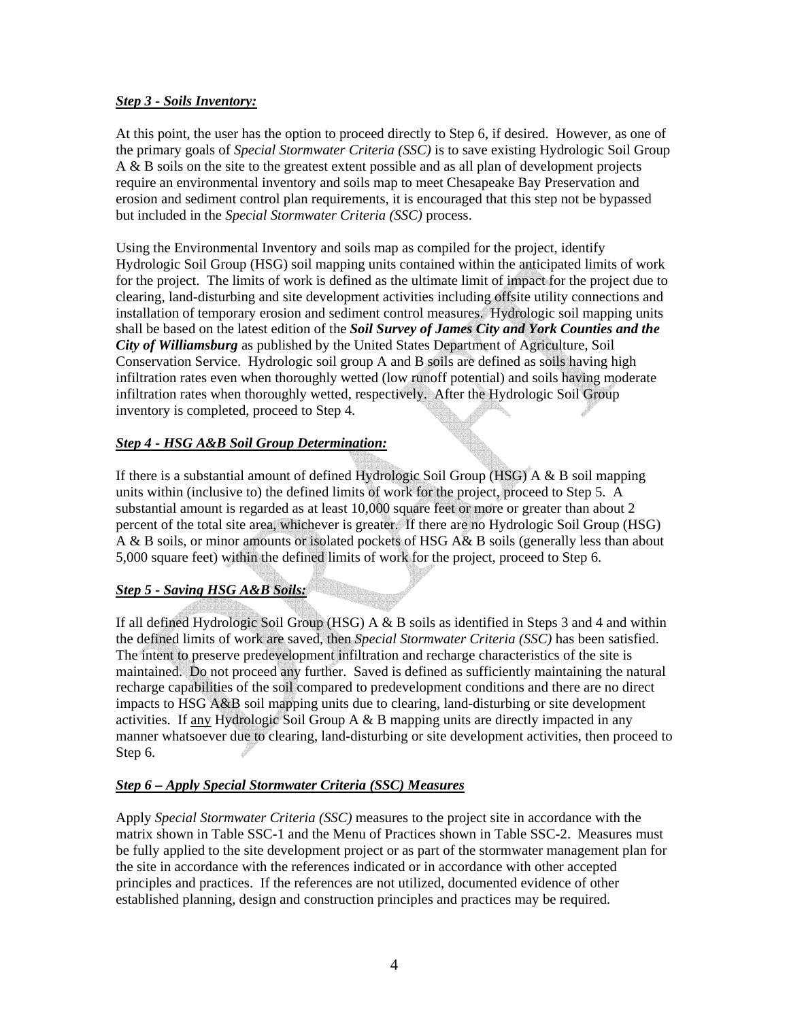#### *Step 3 - Soils Inventory:*

At this point, the user has the option to proceed directly to Step 6, if desired. However, as one of the primary goals of *Special Stormwater Criteria (SSC)* is to save existing Hydrologic Soil Group A & B soils on the site to the greatest extent possible and as all plan of development projects require an environmental inventory and soils map to meet Chesapeake Bay Preservation and erosion and sediment control plan requirements, it is encouraged that this step not be bypassed but included in the *Special Stormwater Criteria (SSC)* process.

Using the Environmental Inventory and soils map as compiled for the project, identify Hydrologic Soil Group (HSG) soil mapping units contained within the anticipated limits of work for the project. The limits of work is defined as the ultimate limit of impact for the project due to clearing, land-disturbing and site development activities including offsite utility connections and installation of temporary erosion and sediment control measures. Hydrologic soil mapping units shall be based on the latest edition of the *Soil Survey of James City and York Counties and the City of Williamsburg* as published by the United States Department of Agriculture, Soil Conservation Service. Hydrologic soil group A and B soils are defined as soils having high infiltration rates even when thoroughly wetted (low runoff potential) and soils having moderate infiltration rates when thoroughly wetted, respectively. After the Hydrologic Soil Group inventory is completed, proceed to Step 4.

## *Step 4 - HSG A&B Soil Group Determination:*

If there is a substantial amount of defined Hydrologic Soil Group (HSG) A & B soil mapping units within (inclusive to) the defined limits of work for the project, proceed to Step 5. A substantial amount is regarded as at least 10,000 square feet or more or greater than about 2 percent of the total site area, whichever is greater. If there are no Hydrologic Soil Group (HSG) A & B soils, or minor amounts or isolated pockets of HSG A& B soils (generally less than about 5,000 square feet) within the defined limits of work for the project, proceed to Step 6.

## *Step 5 - Saving HSG A&B Soils:*

If all defined Hydrologic Soil Group (HSG)  $A \& B$  soils as identified in Steps 3 and 4 and within the defined limits of work are saved, then *Special Stormwater Criteria (SSC)* has been satisfied. The intent to preserve predevelopment infiltration and recharge characteristics of the site is maintained. Do not proceed any further. Saved is defined as sufficiently maintaining the natural recharge capabilities of the soil compared to predevelopment conditions and there are no direct impacts to HSG A&B soil mapping units due to clearing, land-disturbing or site development activities. If any Hydrologic Soil Group  $A \& B$  mapping units are directly impacted in any manner whatsoever due to clearing, land-disturbing or site development activities, then proceed to Step 6.

## *Step 6 – Apply Special Stormwater Criteria (SSC) Measures*

Apply *Special Stormwater Criteria (SSC)* measures to the project site in accordance with the matrix shown in Table SSC-1 and the Menu of Practices shown in Table SSC-2. Measures must be fully applied to the site development project or as part of the stormwater management plan for the site in accordance with the references indicated or in accordance with other accepted principles and practices. If the references are not utilized, documented evidence of other established planning, design and construction principles and practices may be required.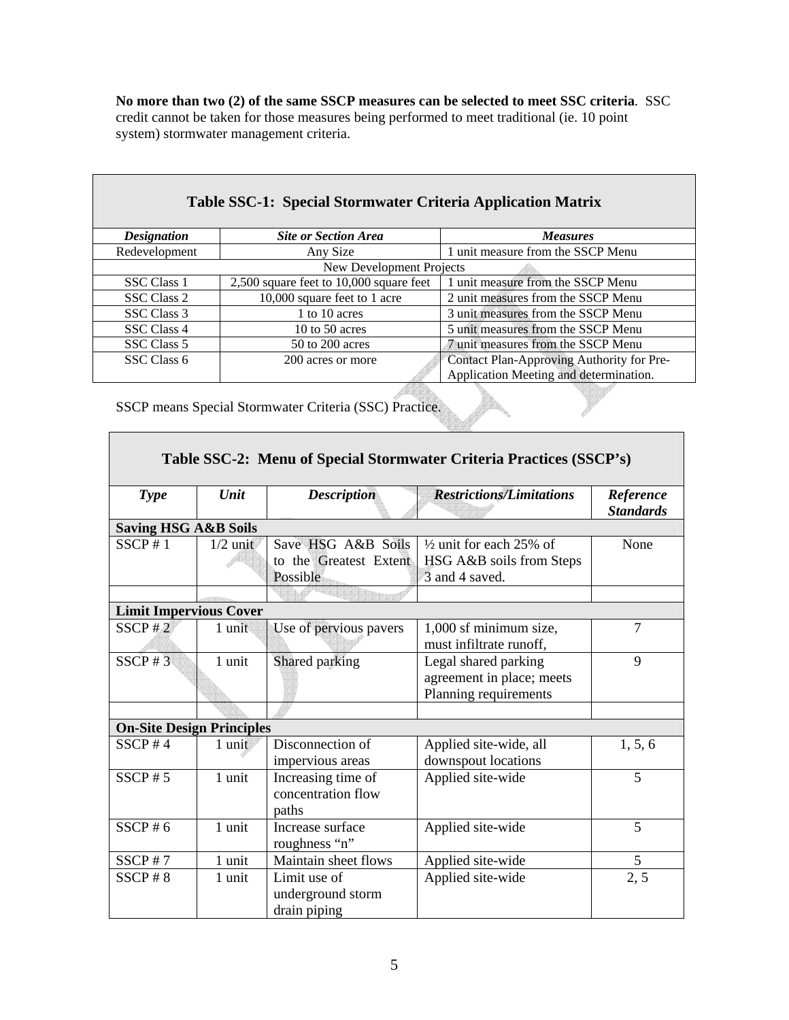**No more than two (2) of the same SSCP measures can be selected to meet SSC criteria**. SSC credit cannot be taken for those measures being performed to meet traditional (ie. 10 point system) stormwater management criteria.

 $\overline{\phantom{0}}$ 

| <b>Table SSC-1: Special Stormwater Criteria Application Matrix</b> |                                           |                                           |  |  |
|--------------------------------------------------------------------|-------------------------------------------|-------------------------------------------|--|--|
| <b>Designation</b>                                                 | <b>Site or Section Area</b>               | <b>Measures</b>                           |  |  |
| Redevelopment                                                      | Any Size                                  | 1 unit measure from the SSCP Menu         |  |  |
|                                                                    | New Development Projects                  |                                           |  |  |
| <b>SSC</b> Class 1                                                 | $2,500$ square feet to 10,000 square feet | 1 unit measure from the SSCP Menu         |  |  |
| SSC Class 2                                                        | 10,000 square feet to 1 acre              | 2 unit measures from the SSCP Menu        |  |  |
| SSC Class 3                                                        | 1 to 10 acres                             | 3 unit measures from the SSCP Menu        |  |  |
| SSC Class 4                                                        | 10 to 50 acres                            | 5 unit measures from the SSCP Menu        |  |  |
| SSC Class 5                                                        | 50 to 200 acres                           | 7 unit measures from the SSCP Menu        |  |  |
| SSC Class 6                                                        | 200 acres or more                         | Contact Plan-Approving Authority for Pre- |  |  |
|                                                                    |                                           | Application Meeting and determination.    |  |  |

400

SSCP means Special Stormwater Criteria (SSC) Practice.

**The State** 

| Table SSC-2: Menu of Special Stormwater Criteria Practices (SSCP's) |            |                                                          |                                                                                  |                               |
|---------------------------------------------------------------------|------------|----------------------------------------------------------|----------------------------------------------------------------------------------|-------------------------------|
| <b>Type</b>                                                         | Unit       | <b>Description</b>                                       | <b>Restrictions/Limitations</b>                                                  | Reference<br><b>Standards</b> |
| <b>Saving HSG A&amp;B Soils</b>                                     |            |                                                          |                                                                                  |                               |
| SSCP#1                                                              | $1/2$ unit | Save HSG A&B Soils<br>to the Greatest Extent<br>Possible | $\frac{1}{2}$ unit for each 25% of<br>HSG A&B soils from Steps<br>3 and 4 saved. | None                          |
|                                                                     |            |                                                          |                                                                                  |                               |
| <b>Limit Impervious Cover</b>                                       |            |                                                          |                                                                                  |                               |
| SSCP#2                                                              | 1 unit     | Use of pervious pavers                                   | 1,000 sf minimum size,<br>must infiltrate runoff,                                | 7                             |
| $SSCP \# 3$                                                         | 1 unit     | Shared parking                                           | Legal shared parking<br>agreement in place; meets<br>Planning requirements       | 9                             |
|                                                                     |            |                                                          |                                                                                  |                               |
| <b>On-Site Design Principles</b>                                    |            |                                                          |                                                                                  |                               |
| SSCP #4                                                             | 1 unit     | Disconnection of<br>impervious areas                     | Applied site-wide, all<br>downspout locations                                    | 1, 5, 6                       |
| $SSCP \# 5$                                                         | 1 unit     | Increasing time of<br>concentration flow<br>paths        | Applied site-wide                                                                | 5                             |
| SSCP # 6                                                            | 1 unit     | Increase surface<br>roughness "n"                        | Applied site-wide                                                                | 5                             |
| SSCP#7                                                              | 1 unit     | Maintain sheet flows                                     | Applied site-wide                                                                | 5                             |
| $SSCP \# 8$                                                         | 1 unit     | Limit use of<br>underground storm<br>drain piping        | Applied site-wide                                                                | 2, 5                          |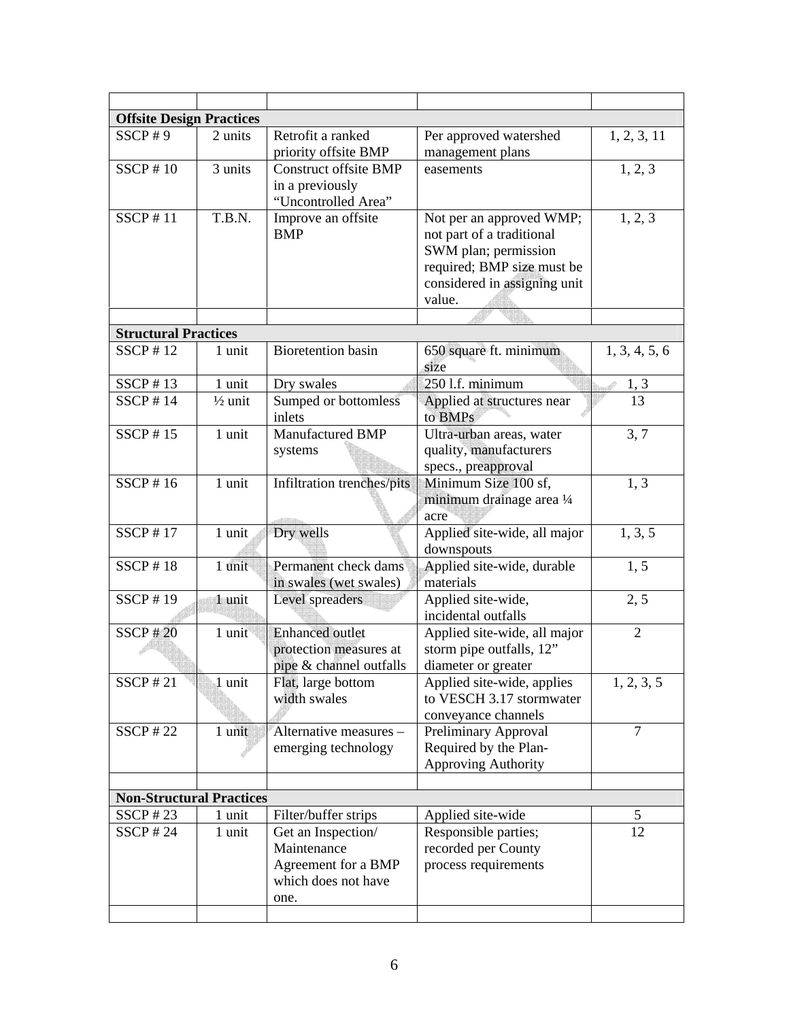| <b>Offsite Design Practices</b> |                    |                                                                                         |                                                                                                                                                       |                |
|---------------------------------|--------------------|-----------------------------------------------------------------------------------------|-------------------------------------------------------------------------------------------------------------------------------------------------------|----------------|
| $SSCP \# 9$                     | 2 units            | Retrofit a ranked<br>priority offsite BMP                                               | Per approved watershed<br>1, 2, 3, 11<br>management plans                                                                                             |                |
| SSCP # 10                       | 3 units            | <b>Construct offsite BMP</b><br>in a previously<br>"Uncontrolled Area"                  | 1, 2, 3<br>easements                                                                                                                                  |                |
| <b>SSCP#11</b>                  | T.B.N.             | Improve an offsite<br><b>BMP</b>                                                        | Not per an approved WMP;<br>not part of a traditional<br>SWM plan; permission<br>required; BMP size must be<br>considered in assigning unit<br>value. | 1, 2, 3        |
|                                 |                    |                                                                                         |                                                                                                                                                       |                |
| <b>Structural Practices</b>     |                    |                                                                                         |                                                                                                                                                       |                |
| SSCP # 12                       | 1 unit             | <b>Bioretention</b> basin                                                               | 650 square ft. minimum<br>size                                                                                                                        | 1, 3, 4, 5, 6  |
| SSCP # 13                       | 1 unit             | Dry swales                                                                              | 250 l.f. minimum                                                                                                                                      | 1, 3           |
| SSCP # 14                       | $\frac{1}{2}$ unit | Sumped or bottomless<br>inlets                                                          | 13<br>Applied at structures near<br>to BMPs                                                                                                           |                |
| SSCP # 15                       | 1 unit             | Manufactured BMP<br>systems                                                             | 3, 7<br>Ultra-urban areas, water<br>quality, manufacturers<br>specs., preapproval                                                                     |                |
| SSCP # 16                       | 1 unit             | Infiltration trenches/pits                                                              | Minimum Size 100 sf,<br>minimum drainage area 1/4<br>acre                                                                                             | 1, 3           |
| $SSCP$ #17                      | 1 unit             | Dry wells                                                                               | Applied site-wide, all major<br>downspouts                                                                                                            | 1, 3, 5        |
| SSCP # 18                       | 1 unit             | Permanent check dams<br>in swales (wet swales)                                          | Applied site-wide, durable<br>materials                                                                                                               | 1, 5           |
| SSCP # 19                       | 1 unit             | Level spreaders                                                                         | Applied site-wide,<br>incidental outfalls                                                                                                             | 2, 5           |
| <b>SSCP#20</b>                  | 1 unit             | <b>Enhanced outlet</b><br>protection measures at<br>pipe & channel outfalls             | Applied site-wide, all major<br>storm pipe outfalls, 12"<br>diameter or greater                                                                       | 2              |
| $SSCP$ #21                      | 1 unit             | Flat, large bottom<br>width swales                                                      | Applied site-wide, applies<br>to VESCH 3.17 stormwater<br>conveyance channels                                                                         | 1, 2, 3, 5     |
| $SSCP$ #22                      | 1 unit             | Alternative measures -<br>emerging technology                                           | Preliminary Approval<br>Required by the Plan-<br><b>Approving Authority</b>                                                                           | $\overline{7}$ |
|                                 |                    |                                                                                         |                                                                                                                                                       |                |
| <b>Non-Structural Practices</b> |                    |                                                                                         |                                                                                                                                                       |                |
| $SSCP$ #23                      | 1 unit             | Filter/buffer strips                                                                    | Applied site-wide                                                                                                                                     | 5              |
| SSCP # $24$                     | 1 unit             | Get an Inspection/<br>Maintenance<br>Agreement for a BMP<br>which does not have<br>one. | Responsible parties;<br>recorded per County<br>process requirements                                                                                   | 12             |
|                                 |                    |                                                                                         |                                                                                                                                                       |                |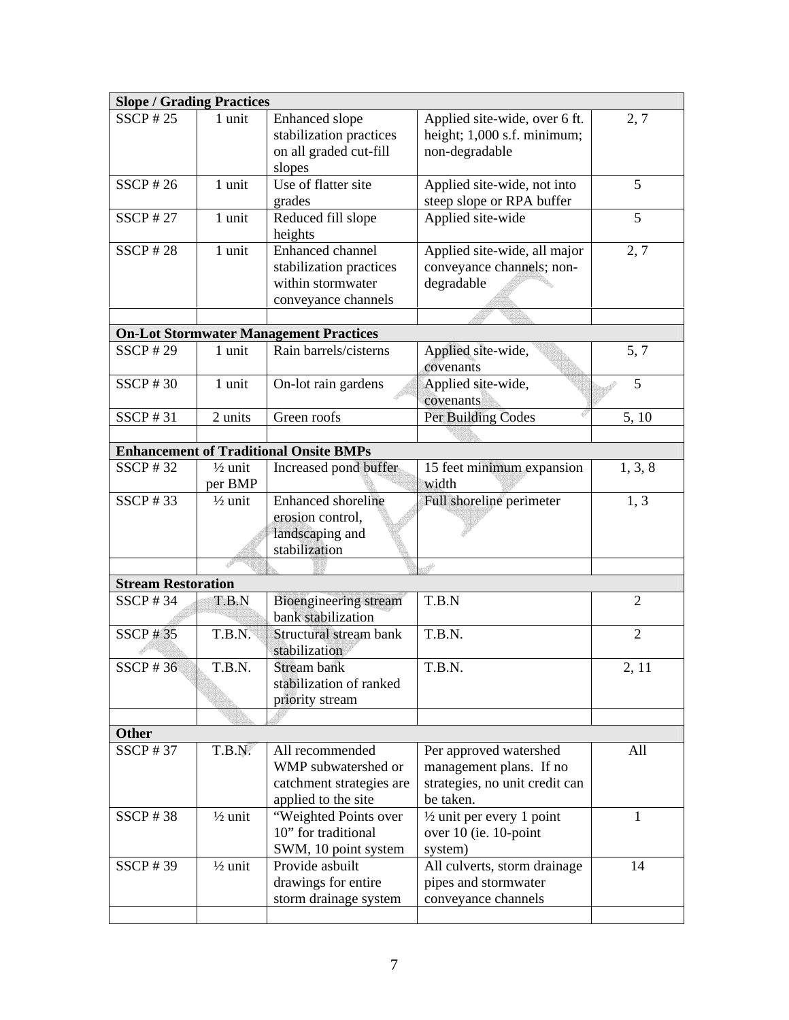| <b>Slope / Grading Practices</b> |                               |                                                                                           |                                                                                                  |                |
|----------------------------------|-------------------------------|-------------------------------------------------------------------------------------------|--------------------------------------------------------------------------------------------------|----------------|
| $SSCP$ #25                       | 1 unit                        | Enhanced slope<br>stabilization practices<br>on all graded cut-fill<br>slopes             | Applied site-wide, over 6 ft.<br>height; 1,000 s.f. minimum;<br>non-degradable                   | 2, 7           |
| $SSCP$ #26                       | 1 unit                        | Use of flatter site<br>grades                                                             | Applied site-wide, not into<br>steep slope or RPA buffer                                         | 5              |
| $SSCP$ #27                       | 1 unit                        | Reduced fill slope<br>heights                                                             | Applied site-wide                                                                                | 5              |
| $SSCP$ #28                       | 1 unit                        | Enhanced channel<br>stabilization practices<br>within stormwater<br>conveyance channels   | Applied site-wide, all major<br>conveyance channels; non-<br>degradable                          | 2, 7           |
|                                  |                               |                                                                                           |                                                                                                  |                |
| $SSCP$ #29                       | 1 unit                        | <b>On-Lot Stormwater Management Practices</b><br>Rain barrels/cisterns                    | Applied site-wide,<br>covenants                                                                  | 5, 7           |
| SSCP # 30                        | 1 unit                        | On-lot rain gardens                                                                       | Applied site-wide,<br>covenants                                                                  | 5              |
| SSCP # 31                        | 2 units                       | Green roofs                                                                               | Per Building Codes                                                                               | 5, 10          |
|                                  |                               |                                                                                           |                                                                                                  |                |
|                                  |                               | <b>Enhancement of Traditional Onsite BMPs</b>                                             |                                                                                                  |                |
| SSCP # 32                        | $\frac{1}{2}$ unit<br>per BMP | Increased pond buffer                                                                     | 15 feet minimum expansion<br>width                                                               | 1, 3, 8        |
| SSCP # 33                        | $\frac{1}{2}$ unit            | <b>Enhanced</b> shoreline<br>erosion control,<br>landscaping and<br>stabilization         | Full shoreline perimeter                                                                         | 1, 3           |
|                                  |                               |                                                                                           |                                                                                                  |                |
| <b>Stream Restoration</b>        |                               |                                                                                           |                                                                                                  |                |
| SSCP # 34                        | T.B.N                         | <b>Bioengineering stream</b><br>bank stabilization                                        | T.B.N                                                                                            | $\overline{2}$ |
| <b>SSCP#35</b>                   | T.B.N.                        | Structural stream bank<br>stabilization                                                   | T.B.N.                                                                                           | $\overline{2}$ |
| SSCP # 36                        | T.B.N.                        | Stream bank<br>stabilization of ranked<br>priority stream                                 | T.B.N.                                                                                           | 2, 11          |
|                                  |                               |                                                                                           |                                                                                                  |                |
| <b>Other</b>                     |                               |                                                                                           |                                                                                                  |                |
| SSCP # 37                        | T.B.N.                        | All recommended<br>WMP subwatershed or<br>catchment strategies are<br>applied to the site | Per approved watershed<br>management plans. If no<br>strategies, no unit credit can<br>be taken. | All            |
| SSCP # 38                        | $\frac{1}{2}$ unit            | "Weighted Points over<br>10" for traditional<br>SWM, 10 point system                      | $\frac{1}{2}$ unit per every 1 point<br>over 10 (ie. 10-point<br>system)                         | 1              |
| SSCP # 39                        | $\frac{1}{2}$ unit            | Provide asbuilt<br>drawings for entire<br>storm drainage system                           | All culverts, storm drainage<br>pipes and stormwater<br>conveyance channels                      | 14             |
|                                  |                               |                                                                                           |                                                                                                  |                |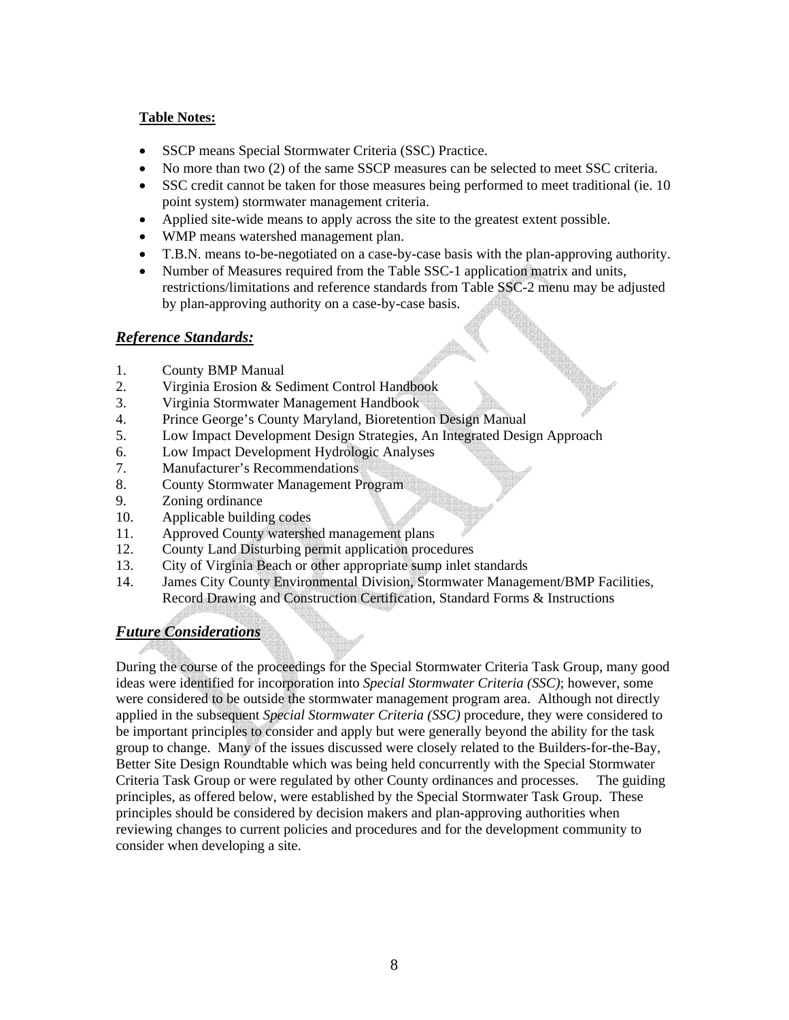## **Table Notes:**

- SSCP means Special Stormwater Criteria (SSC) Practice.
- No more than two (2) of the same SSCP measures can be selected to meet SSC criteria.
- SSC credit cannot be taken for those measures being performed to meet traditional (ie. 10) point system) stormwater management criteria.
- Applied site-wide means to apply across the site to the greatest extent possible.
- WMP means watershed management plan.
- T.B.N. means to-be-negotiated on a case-by-case basis with the plan-approving authority.
- Number of Measures required from the Table SSC-1 application matrix and units, restrictions/limitations and reference standards from Table SSC-2 menu may be adjusted by plan-approving authority on a case-by-case basis.

## *Reference Standards:*

- 1. County BMP Manual
- 2. Virginia Erosion & Sediment Control Handbook
- 3. Virginia Stormwater Management Handbook
- 4. Prince George's County Maryland, Bioretention Design Manual
- 5. Low Impact Development Design Strategies, An Integrated Design Approach
- 6. Low Impact Development Hydrologic Analyses
- 7. Manufacturer's Recommendations
- 8. County Stormwater Management Program
- 9. Zoning ordinance
- 10. Applicable building codes
- 11. Approved County watershed management plans
- 12. County Land Disturbing permit application procedures
- 13. City of Virginia Beach or other appropriate sump inlet standards
- 14. James City County Environmental Division, Stormwater Management/BMP Facilities, Record Drawing and Construction Certification, Standard Forms & Instructions

## *Future Considerations*

During the course of the proceedings for the Special Stormwater Criteria Task Group, many good ideas were identified for incorporation into *Special Stormwater Criteria (SSC)*; however, some were considered to be outside the stormwater management program area. Although not directly applied in the subsequent *Special Stormwater Criteria (SSC)* procedure, they were considered to be important principles to consider and apply but were generally beyond the ability for the task group to change. Many of the issues discussed were closely related to the Builders-for-the-Bay, Better Site Design Roundtable which was being held concurrently with the Special Stormwater Criteria Task Group or were regulated by other County ordinances and processes. The guiding principles, as offered below, were established by the Special Stormwater Task Group. These principles should be considered by decision makers and plan-approving authorities when reviewing changes to current policies and procedures and for the development community to consider when developing a site.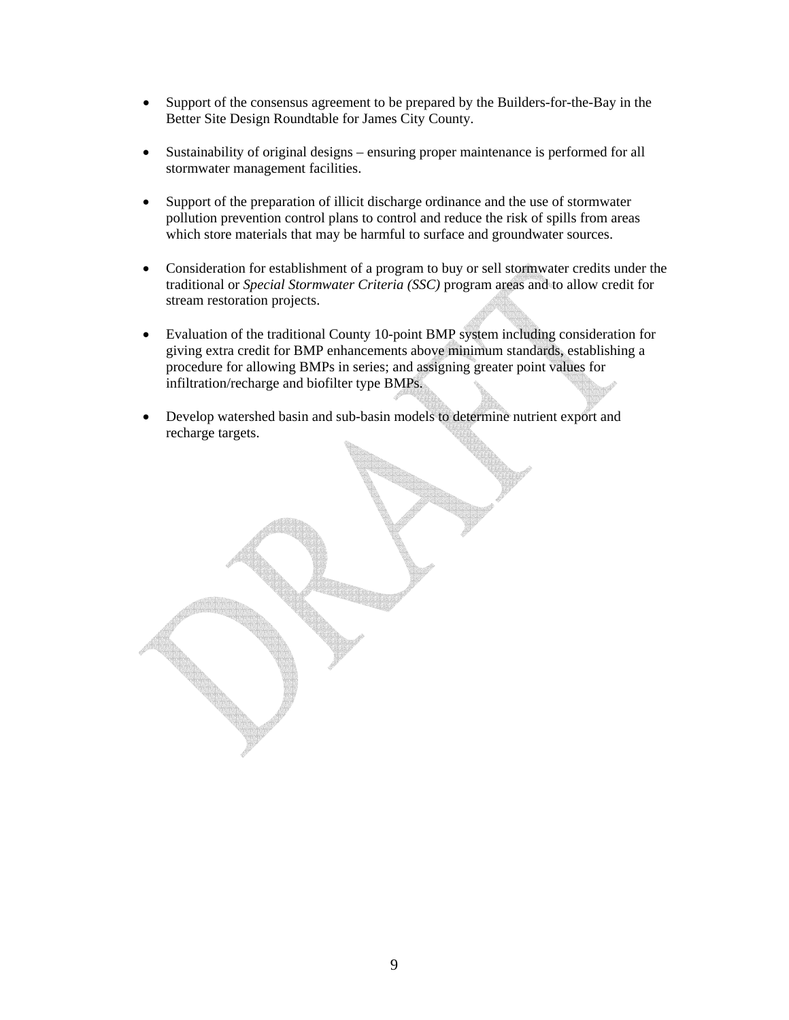- Support of the consensus agreement to be prepared by the Builders-for-the-Bay in the Better Site Design Roundtable for James City County.
- Sustainability of original designs ensuring proper maintenance is performed for all stormwater management facilities.
- Support of the preparation of illicit discharge ordinance and the use of stormwater pollution prevention control plans to control and reduce the risk of spills from areas which store materials that may be harmful to surface and groundwater sources.
- Consideration for establishment of a program to buy or sell stormwater credits under the traditional or *Special Stormwater Criteria (SSC)* program areas and to allow credit for stream restoration projects.
- Evaluation of the traditional County 10-point BMP system including consideration for giving extra credit for BMP enhancements above minimum standards, establishing a procedure for allowing BMPs in series; and assigning greater point values for infiltration/recharge and biofilter type BMPs.
- Develop watershed basin and sub-basin models to determine nutrient export and recharge targets.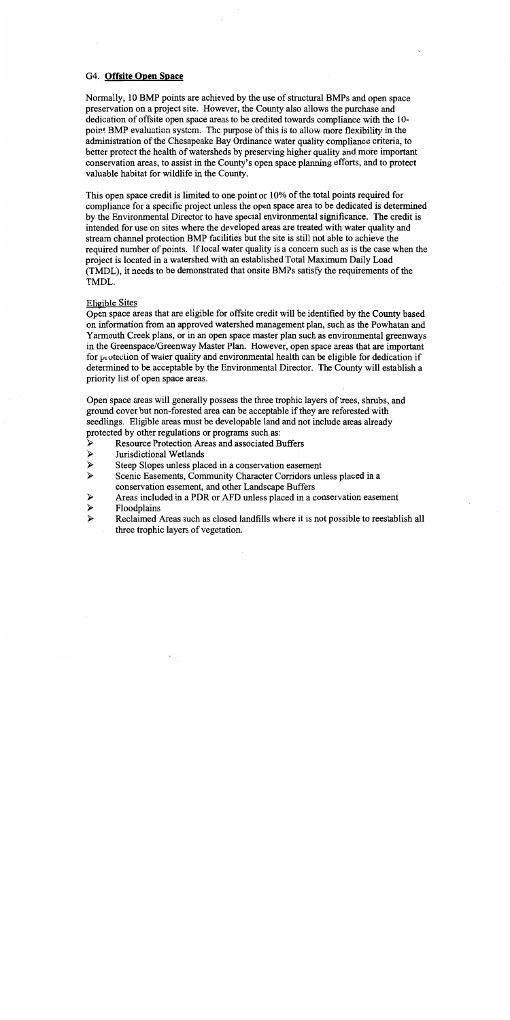#### G4. Offsite Open Space

Normally, 10 BMP points are achieved by the use of structural BMPs and open space preservation on a project site. However, the County also allows the purchase and dedication of offsite open space areas to be credited towards compliance with the 10point BMP evaluation system. The purpose of this is to allow more flexibility in the administration of the Chesapeake Bay Ordinance water quality compliance criteria, to better protect the health of watersheds by preserving higher quality and more important conservation areas, to assist in the County's open space planning efforts, and to protect valuable habitat for wildlife in the County.

This open space credit is limited to one point or 10% of the total points required for compliance for a specific project unless the open space area to be dedicated is determined by the Environmental Director to have special environmental significance. The credit is intended for use on sites where the developed areas are treated with water quality and stream channel protection BMP facilities but the site is still not able to achieve the required number of points. If local water quality is a concern such as is the case when the project is located in a watershed with an established Total Maximum Daily Load (TMDL), it needs to be demonstrated that onsite BMPs satisfy the requirements of the TMDL.

#### **Eligible Sites**

Open space areas that are eligible for offsite credit will be identified by the County based on information from an approved watershed management plan, such as the Powhatan and Yarmouth Creek plans, or in an open space master plan such as environmental greenways in the Greenspace/Greenway Master Plan. However, open space areas that are important for protection of water quality and environmental health can be eligible for dedication if determined to be acceptable by the Environmental Director. The County will establish a priority list of open space areas.

Open space areas will generally possess the three trophic layers of trees, shrubs, and ground cover but non-forested area can be acceptable if they are reforested with seedlings. Eligible areas must be developable land and not include areas already protected by other regulations or programs such as:

- **Resource Protection Areas and associated Buffers** ↘
- $\blacktriangleright$ Jurisdictional Wetlands
- $\blacktriangleright$ Steep Slopes unless placed in a conservation easement
- $\blacktriangle$ Scenic Easements, Community Character Corridors unless placed in a conservation easement, and other Landscape Buffers
- Areas included in a PDR or AFD unless placed in a conservation easement  $\blacktriangleright$
- $\blacktriangleright$ Floodplains
- $\blacktriangleright$ Reclaimed Areas such as closed landfills where it is not possible to reestablish all three trophic layers of vegetation.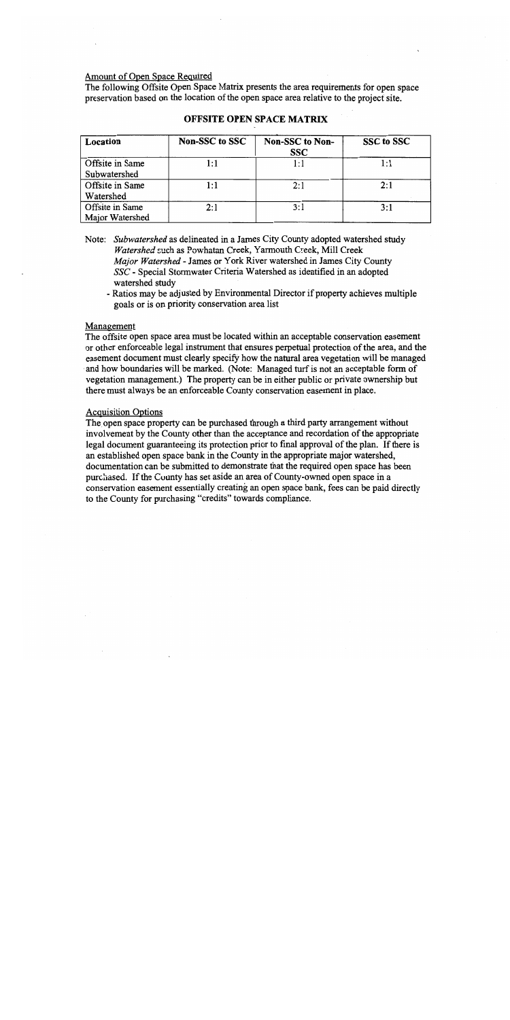#### Amount of Open Space Required

The following Offsite Open Space Matrix presents the area requirements for open space preservation based on the location of the open space area relative to the project site.

| Location        | Non-SSC to SSC | Non-SSC to Non-<br><b>SSC</b> | SSC to SSC |
|-----------------|----------------|-------------------------------|------------|
| Offsite in Same | 1:1            | l : l                         | 1:1        |
| Subwatershed    |                |                               |            |
| Offsite in Same | 1:1            | 2:1                           | 2:1        |
| Watershed       |                |                               |            |
| Offsite in Same | 2:1            | 3:1                           | 3:1        |
| Major Watershed |                |                               |            |

#### **OFFSITE OPEN SPACE MATRIX**

Note: Subwatershed as delineated in a James City County adopted watershed study Watershed such as Powhatan Creek, Yarmouth Creek, Mill Creek Major Watershed - James or York River watershed in James City County SSC - Special Stormwater Criteria Watershed as identified in an adopted watershed study

#### Management

The offsite open space area must be located within an acceptable conservation easement or other enforceable legal instrument that ensures perpetual protection of the area, and the easement document must clearly specify how the natural area vegetation will be managed and how boundaries will be marked. (Note: Managed turf is not an acceptable form of vegetation management.) The property can be in either public or private ownership but there must always be an enforceable County conservation easement in place.

#### **Acquisition Options**

The open space property can be purchased through a third party arrangement without involvement by the County other than the acceptance and recordation of the appropriate legal document guaranteeing its protection prior to final approval of the plan. If there is an established open space bank in the County in the appropriate major watershed, documentation can be submitted to demonstrate that the required open space has been purchased. If the County has set aside an area of County-owned open space in a conservation easement essentially creating an open space bank, fees can be paid directly to the County for purchasing "credits" towards compliance.

<sup>-</sup> Ratios may be adjusted by Environmental Director if property achieves multiple goals or is on priority conservation area list